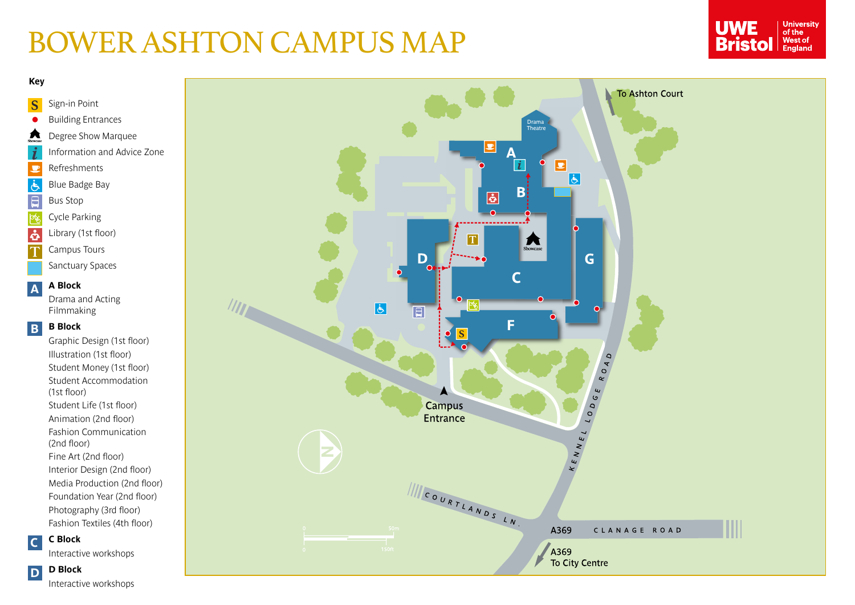# BOWER ASHTON CAMPUS MAP





**Interactive workshops**

 $\overline{\mathsf{T}}$